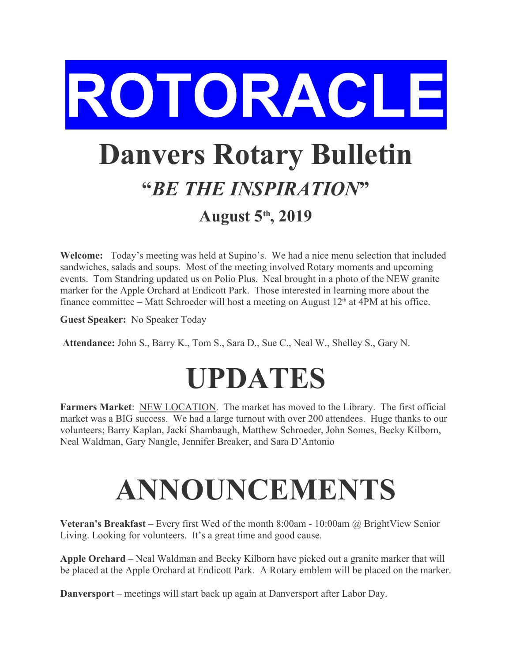

## **Danvers Rotary Bulletin "***BE THE INSPIRATION***"**

## **August 5th, 2019**

**Welcome:** Today's meeting was held at Supino's. We had a nice menu selection that included sandwiches, salads and soups. Most of the meeting involved Rotary moments and upcoming events. Tom Standring updated us on Polio Plus. Neal brought in a photo of the NEW granite marker for the Apple Orchard at Endicott Park. Those interested in learning more about the finance committee – Matt Schroeder will host a meeting on August  $12<sup>th</sup>$  at 4PM at his office.

**Guest Speaker:** No Speaker Today

 **Attendance:** John S., Barry K., Tom S., Sara D., Sue C., Neal W., Shelley S., Gary N.

## **UPDATES**

**Farmers Market**: NEW LOCATION. The market has moved to the Library. The first official market was a BIG success. We had a large turnout with over 200 attendees. Huge thanks to our volunteers; Barry Kaplan, Jacki Shambaugh, Matthew Schroeder, John Somes, Becky Kilborn, Neal Waldman, Gary Nangle, Jennifer Breaker, and Sara D'Antonio

## **ANNOUNCEMENTS**

**Veteran's Breakfast** – Every first Wed of the month 8:00am - 10:00am @ BrightView Senior Living. Looking for volunteers. It's a great time and good cause.

**Apple Orchard** – Neal Waldman and Becky Kilborn have picked out a granite marker that will be placed at the Apple Orchard at Endicott Park. A Rotary emblem will be placed on the marker.

**Danversport** – meetings will start back up again at Danversport after Labor Day.